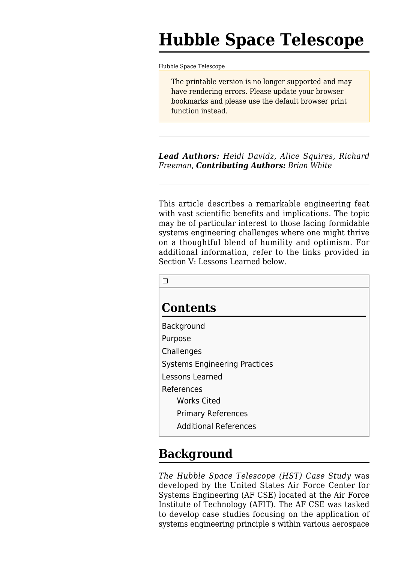# **Hubble Space Telescope**

[Hubble Space Telescope](http://sebokwiki.org/wiki/Hubble_Space_Telescope)

The printable version is no longer supported and may have rendering errors. Please update your browser bookmarks and please use the default browser print function instead.

*Lead Authors: Heidi Davidz, Alice Squires, Richard Freeman*, *Contributing Authors: Brian White*

This article describes a remarkable engineering feat with vast scientific benefits and implications. The topic may be of particular interest to those facing formidable systems engineering challenges where one might thrive on a thoughtful blend of humility and optimism. For additional information, refer to the links provided in Section V: Lessons Learned below.

| <b>Contents</b>                      |
|--------------------------------------|
| Background                           |
| Purpose                              |
| Challenges                           |
| <b>Systems Engineering Practices</b> |
| Lessons Learned                      |
| References                           |
| <b>Works Cited</b>                   |
| <b>Primary References</b>            |
| <b>Additional References</b>         |

## **Background**

*The Hubble Space Telescope (HST) Case Study* was developed by the United States Air Force Center for Systems Engineering (AF CSE) located at the Air Force Institute of Technology (AFIT). The AF CSE was tasked to develop case studies focusing on the application of systems engineering principle s within various aerospace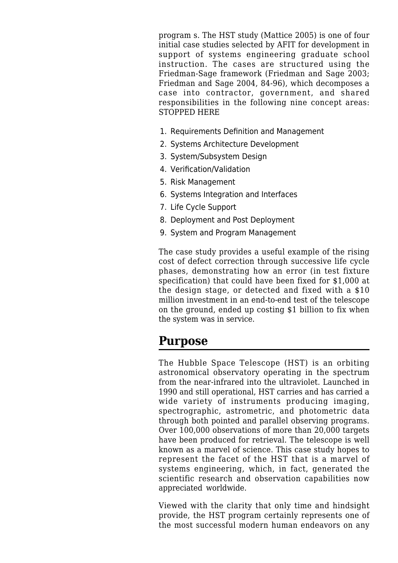program s. The HST study (Mattice 2005) is one of four initial case studies selected by AFIT for development in support of systems engineering graduate school instruction. The cases are structured using the Friedman-Sage framework (Friedman and Sage 2003; Friedman and Sage 2004, 84-96), which decomposes a case into contractor, government, and shared responsibilities in the following nine concept areas: STOPPED HERE

- 1. Requirements Definition and Management
- 2. Systems Architecture Development
- 3. System/Subsystem Design
- 4. Verification/Validation
- 5. Risk Management
- 6. Systems Integration and Interfaces
- 7. Life Cycle Support
- 8. Deployment and Post Deployment
- 9. System and Program Management

The case study provides a useful example of the rising cost of defect correction through successive life cycle phases, demonstrating how an error (in test fixture specification) that could have been fixed for \$1,000 at the design stage, or detected and fixed with a \$10 million investment in an end-to-end test of the telescope on the ground, ended up costing \$1 billion to fix when the system was in service.

### **Purpose**

The Hubble Space Telescope (HST) is an orbiting astronomical observatory operating in the spectrum from the near-infrared into the ultraviolet. Launched in 1990 and still operational, HST carries and has carried a wide variety of instruments producing imaging, spectrographic, astrometric, and photometric data through both pointed and parallel observing programs. Over 100,000 observations of more than 20,000 targets have been produced for retrieval. The telescope is well known as a marvel of science. This case study hopes to represent the facet of the HST that is a marvel of systems engineering, which, in fact, generated the scientific research and observation capabilities now appreciated worldwide.

Viewed with the clarity that only time and hindsight provide, the HST program certainly represents one of the most successful modern human endeavors on any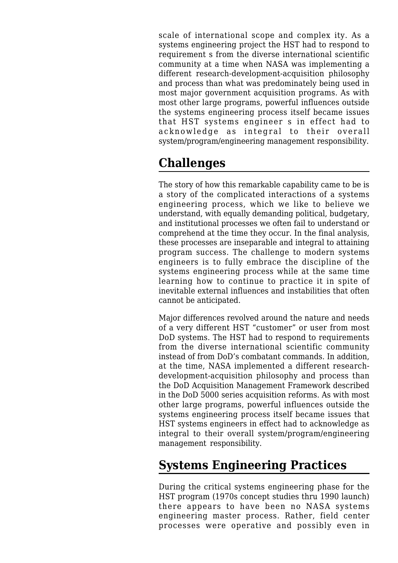scale of international scope and complex ity. As a systems engineering project the HST had to respond to requirement s from the diverse international scientific community at a time when NASA was implementing a different research-development-acquisition philosophy and process than what was predominately being used in most major government acquisition programs. As with most other large programs, powerful influences outside the systems engineering process itself became issues that HST systems engineer s in effect had to acknowledge as integral to their overall system/program/engineering management responsibility.

## **Challenges**

The story of how this remarkable capability came to be is a story of the complicated interactions of a systems engineering process, which we like to believe we understand, with equally demanding political, budgetary, and institutional processes we often fail to understand or comprehend at the time they occur. In the final analysis, these processes are inseparable and integral to attaining program success. The challenge to modern systems engineers is to fully embrace the discipline of the systems engineering process while at the same time learning how to continue to practice it in spite of inevitable external influences and instabilities that often cannot be anticipated.

Major differences revolved around the nature and needs of a very different HST "customer" or user from most DoD systems. The HST had to respond to requirements from the diverse international scientific community instead of from DoD's combatant commands. In addition, at the time, NASA implemented a different researchdevelopment-acquisition philosophy and process than the DoD Acquisition Management Framework described in the DoD 5000 series acquisition reforms. As with most other large programs, powerful influences outside the systems engineering process itself became issues that HST systems engineers in effect had to acknowledge as integral to their overall system/program/engineering management responsibility.

## **Systems Engineering Practices**

During the critical systems engineering phase for the HST program (1970s concept studies thru 1990 launch) there appears to have been no NASA systems engineering master process. Rather, field center processes were operative and possibly even in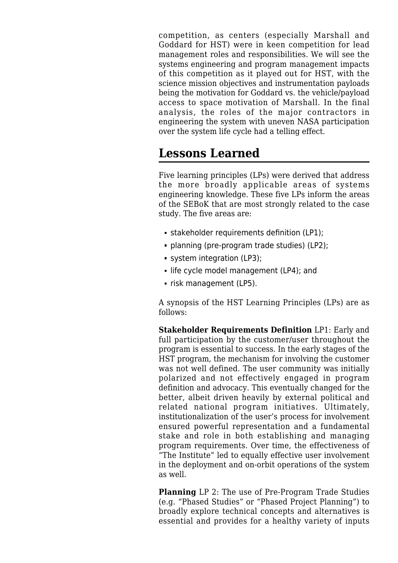competition, as centers (especially Marshall and Goddard for HST) were in keen competition for lead management roles and responsibilities. We will see the systems engineering and program management impacts of this competition as it played out for HST, with the science mission objectives and instrumentation payloads being the motivation for Goddard vs. the vehicle/payload access to space motivation of Marshall. In the final analysis, the roles of the major contractors in engineering the system with uneven NASA participation over the system life cycle had a telling effect.

## **Lessons Learned**

Five learning principles (LPs) were derived that address the more broadly applicable areas of systems engineering knowledge. These five LPs inform the areas of the SEBoK that are most strongly related to the case study. The five areas are:

- stakeholder requirements definition (LP1);
- **planning (pre-program trade studies) (LP2):**
- system integration (LP3);
- Ife cycle model management (LP4); and
- risk management (LP5).

A synopsis of the HST Learning Principles (LPs) are as follows:

**Stakeholder Requirements Definition** LP1: Early and full participation by the customer/user throughout the program is essential to success. In the early stages of the HST program, the mechanism for involving the customer was not well defined. The user community was initially polarized and not effectively engaged in program definition and advocacy. This eventually changed for the better, albeit driven heavily by external political and related national program initiatives. Ultimately, institutionalization of the user's process for involvement ensured powerful representation and a fundamental stake and role in both establishing and managing program requirements. Over time, the effectiveness of "The Institute" led to equally effective user involvement in the deployment and on-orbit operations of the system as well.

**Planning** LP 2: The use of Pre-Program Trade Studies (e.g. "Phased Studies" or "Phased Project Planning") to broadly explore technical concepts and alternatives is essential and provides for a healthy variety of inputs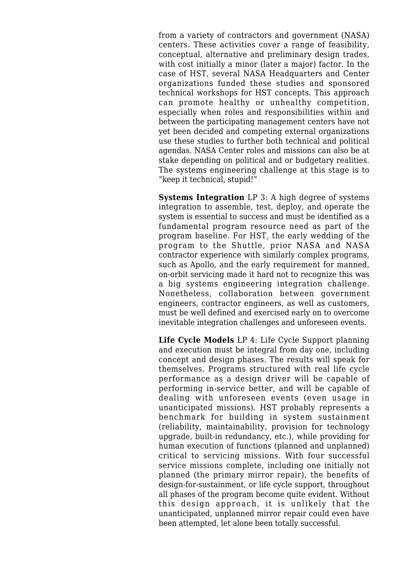from a variety of contractors and government (NASA) centers. These activities cover a range of feasibility, conceptual, alternative and preliminary design trades, with cost initially a minor (later a major) factor. In the case of HST, several NASA Headquarters and Center organizations funded these studies and sponsored technical workshops for HST concepts. This approach can promote healthy or unhealthy competition, especially when roles and responsibilities within and between the participating management centers have not yet been decided and competing external organizations use these studies to further both technical and political agendas. NASA Center roles and missions can also be at stake depending on political and or budgetary realities. The systems engineering challenge at this stage is to "keep it technical, stupid!"

**Systems Integration** LP 3: A high degree of systems integration to assemble, test, deploy, and operate the system is essential to success and must be identified as a fundamental program resource need as part of the program baseline. For HST, the early wedding of the program to the Shuttle, prior NASA and NASA contractor experience with similarly complex programs, such as Apollo, and the early requirement for manned, on-orbit servicing made it hard not to recognize this was a big systems engineering integration challenge. Nonetheless, collaboration between government engineers, contractor engineers, as well as customers, must be well defined and exercised early on to overcome inevitable integration challenges and unforeseen events.

**Life Cycle Models** LP 4: Life Cycle Support planning and execution must be integral from day one, including concept and design phases. The results will speak for themselves. Programs structured with real life cycle performance as a design driver will be capable of performing in-service better, and will be capable of dealing with unforeseen events (even usage in unanticipated missions). HST probably represents a benchmark for building in system sustainment (reliability, maintainability, provision for technology upgrade, built-in redundancy, etc.), while providing for human execution of functions (planned and unplanned) critical to servicing missions. With four successful service missions complete, including one initially not planned (the primary mirror repair), the benefits of design-for-sustainment, or life cycle support, throughout all phases of the program become quite evident. Without this design approach, it is unlikely that the unanticipated, unplanned mirror repair could even have been attempted, let alone been totally successful.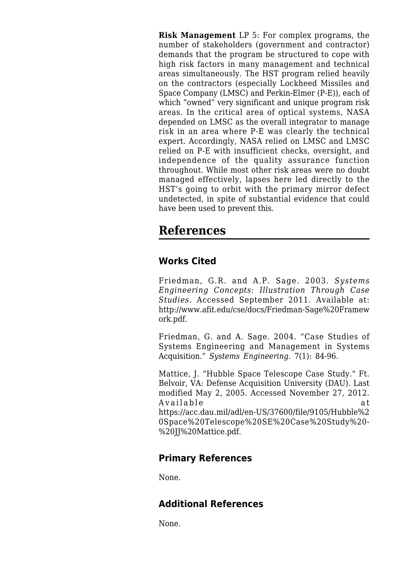**Risk Management** LP 5: For complex programs, the number of stakeholders (government and contractor) demands that the program be structured to cope with high risk factors in many management and technical areas simultaneously. The HST program relied heavily on the contractors (especially Lockheed Missiles and Space Company (LMSC) and Perkin-Elmer (P-E)), each of which "owned" very significant and unique program risk areas. In the critical area of optical systems, NASA depended on LMSC as the overall integrator to manage risk in an area where P-E was clearly the technical expert. Accordingly, NASA relied on LMSC and LMSC relied on P-E with insufficient checks, oversight, and independence of the quality assurance function throughout. While most other risk areas were no doubt managed effectively, lapses here led directly to the HST's going to orbit with the primary mirror defect undetected, in spite of substantial evidence that could have been used to prevent this.

## **References**

## **Works Cited**

Friedman, G.R. and A.P. Sage. 2003. *Systems Engineering Concepts: Illustration Through Case Studies.* Accessed September 2011. Available at: [http://www.afit.edu/cse/docs/Friedman-Sage%20Framew](http://www.afit.edu/cse/docs/Friedman-Sage%20Framework.pdf) [ork.pdf.](http://www.afit.edu/cse/docs/Friedman-Sage%20Framework.pdf)

Friedman, G. and A. Sage. 2004. "Case Studies of Systems Engineering and Management in Systems Acquisition." *Systems Engineering.* 7(1): 84-96.

Mattice, J. "[Hubble Space Telescope Case Study](http://sebokwiki.org/wiki/Hubble_Space_Telescope_Case_Study_(reference))." Ft. Belvoir, VA: Defense Acquisition University (DAU). Last modified May 2, 2005. Accessed November 27, 2012. Available at [https://acc.dau.mil/adl/en-US/37600/file/9105/Hubble%2](https://acc.dau.mil/adl/en-US/37600/file/9105/Hubble%20Space%20Telescope%20SE%20Case%20Study%20-%20JJ%20Mattice.pdf) [0Space%20Telescope%20SE%20Case%20Study%20-](https://acc.dau.mil/adl/en-US/37600/file/9105/Hubble%20Space%20Telescope%20SE%20Case%20Study%20-%20JJ%20Mattice.pdf) [%20JJ%20Mattice.pdf](https://acc.dau.mil/adl/en-US/37600/file/9105/Hubble%20Space%20Telescope%20SE%20Case%20Study%20-%20JJ%20Mattice.pdf).

### **Primary References**

None.

### **Additional References**

None.